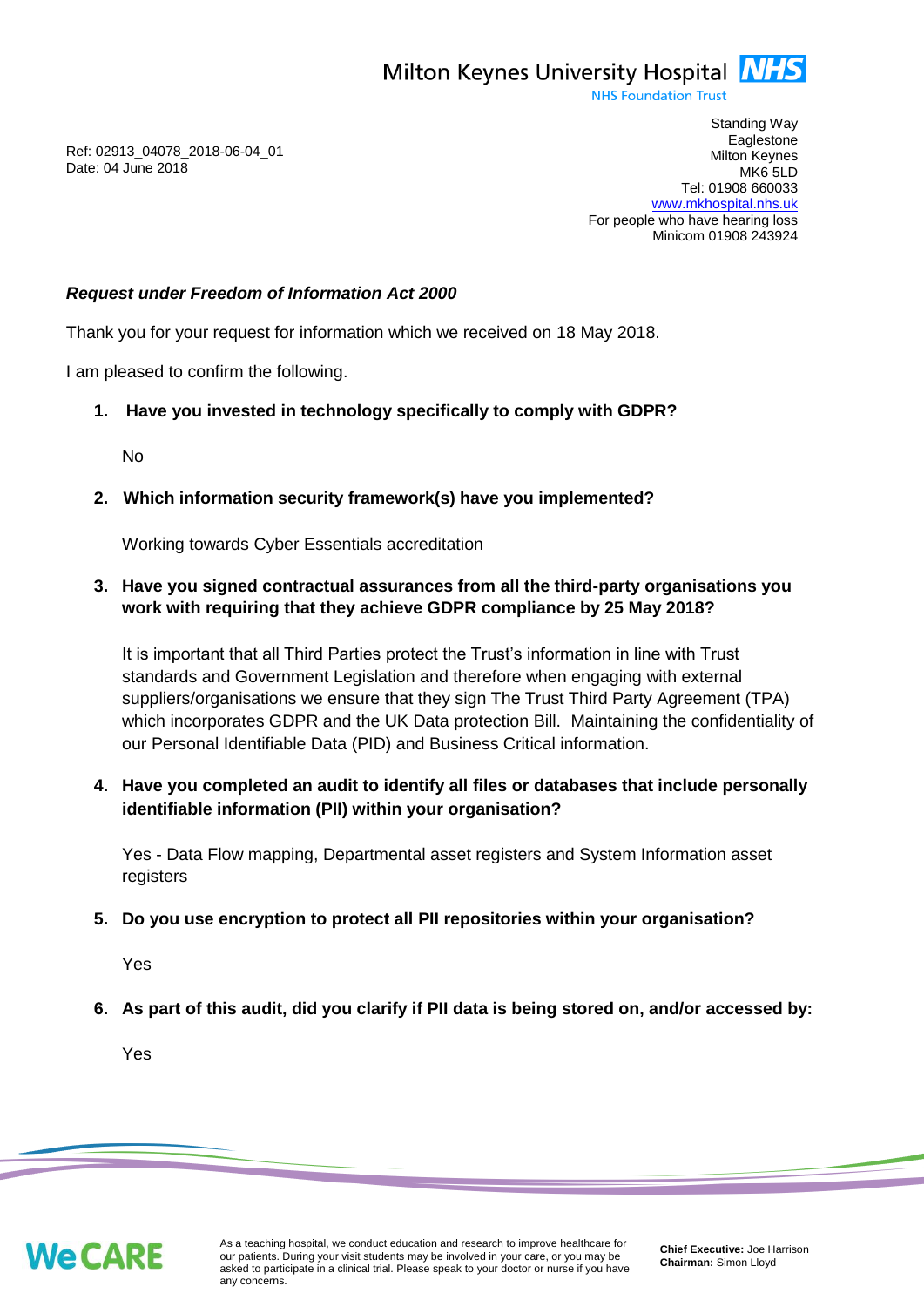**NHS Foundation Trust** 

Ref: 02913\_04078\_2018-06-04\_01 Date: 04 June 2018

Standing Way **Eaglestone** Milton Keynes MK6 5LD Tel: 01908 660033 [www.mkhospital.nhs.uk](http://www.mkhospital.nhs.uk/) For people who have hearing loss Minicom 01908 243924

## *Request under Freedom of Information Act 2000*

Thank you for your request for information which we received on 18 May 2018.

I am pleased to confirm the following.

**1. Have you invested in technology specifically to comply with GDPR?** 

No

**2. Which information security framework(s) have you implemented?**

Working towards Cyber Essentials accreditation

## **3. Have you signed contractual assurances from all the third-party organisations you work with requiring that they achieve GDPR compliance by 25 May 2018?**

It is important that all Third Parties protect the Trust's information in line with Trust standards and Government Legislation and therefore when engaging with external suppliers/organisations we ensure that they sign The Trust Third Party Agreement (TPA) which incorporates GDPR and the UK Data protection Bill. Maintaining the confidentiality of our Personal Identifiable Data (PID) and Business Critical information.

**4. Have you completed an audit to identify all files or databases that include personally identifiable information (PII) within your organisation?** 

Yes - Data Flow mapping, Departmental asset registers and System Information asset registers

**5. Do you use encryption to protect all PII repositories within your organisation?**

Yes

**6. As part of this audit, did you clarify if PII data is being stored on, and/or accessed by:**

Yes